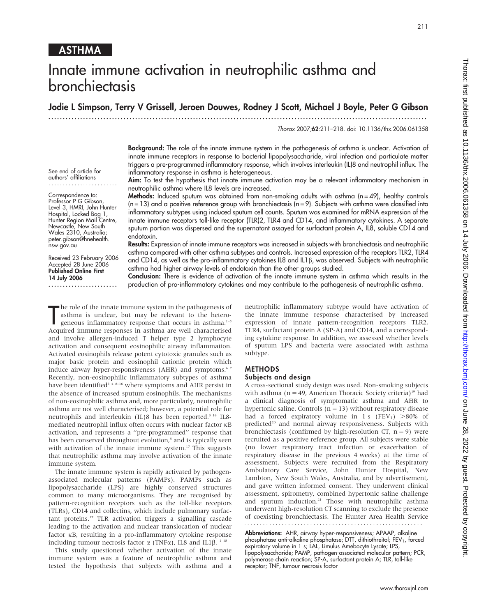# Innate immune activation in neutrophilic asthma and bronchiectasis

Jodie L Simpson, Terry V Grissell, Jeroen Douwes, Rodney J Scott, Michael J Boyle, Peter G Gibson

...................................................................................................................................

Thorax 2007;62:211–218. doi: 10.1136/thx.2006.061358

Background: The role of the innate immune system in the pathogenesis of asthma is unclear. Activation of innate immune receptors in response to bacterial lipopolysaccharide, viral infection and particulate matter triggers a pre-programmed inflammatory response, which involves interleukin (IL)8 and neutrophil influx. The inflammatory response in asthma is heterogeneous.

Aim: To test the hypothesis that innate immune activation may be a relevant inflammatory mechanism in neutrophilic asthma where IL8 levels are increased.

**Methods:** Induced sputum was obtained from non-smoking adults with asthma  $(n = 49)$ , healthy controls  $(n = 13)$  and a positive reference group with bronchiectasis  $(n = 9)$ . Subjects with asthma were classified into inflammatory subtypes using induced sputum cell counts. Sputum was examined for mRNA expression of the innate immune receptors toll-like receptor (TLR)2, TLR4 and CD14, and inflammatory cytokines. A separate sputum portion was dispersed and the supernatant assayed for surfactant protein A, IL8, soluble CD14 and endotoxin.

Results: Expression of innate immune receptors was increased in subjects with bronchiectasis and neutrophilic asthma compared with other asthma subtypes and controls. Increased expression of the receptors TLR2, TLR4 and CD14, as well as the pro-inflammatory cytokines IL8 and IL1 $\beta$ , was observed. Subjects with neutrophilic asthma had higher airway levels of endotoxin than the other groups studied.

Conclusion: There is evidence of activation of the innate immune system in asthma which results in the production of pro-inflammatory cytokines and may contribute to the pathogenesis of neutrophilic asthma.

The role of the innate immune system in the pathogenesis of asthma is unclear, but may be relevant to the heterogeneous inflammatory response that occurs in asthma.<sup>1-5</sup> Acquired immune responses in asthma are well charact he role of the innate immune system in the pathogenesis of asthma is unclear, but may be relevant to the heterogeneous inflammatory response that occurs in asthma.<sup>1-5</sup> and involve allergen-induced T helper type 2 lymphocyte activation and consequent eosinophilic airway inflammation. Activated eosinophils release potent cytotoxic granules such as major basic protein and eosinophil cationic protein which induce airway hyper-responsiveness (AHR) and symptoms.<sup>67</sup> Recently, non-eosinophilic inflammatory subtypes of asthma have been identified<sup>3</sup><sup>4</sup><sup>8–16</sup> where symptoms and AHR persist in the absence of increased sputum eosinophils. The mechanisms of non-eosinophilic asthma and, more particularly, neutrophilic asthma are not well characterised; however, a potential role for neutrophils and interleukin (IL)8 has been reported.<sup>3 16</sup> IL8mediated neutrophil influx often occurs with nuclear factor kB activation, and represents a ''pre-programmed'' response that has been conserved throughout evolution,<sup>5</sup> and is typically seen with activation of the innate immune system.<sup>17</sup> This suggests that neutrophilic asthma may involve activation of the innate immune system.

The innate immune system is rapidly activated by pathogenassociated molecular patterns (PAMPs). PAMPs such as lipopolysaccharide (LPS) are highly conserved structures common to many microorganisms. They are recognised by pattern-recognition receptors such as the toll-like receptors (TLRs), CD14 and collectins, which include pulmonary surfactant proteins.17 TLR activation triggers a signalling cascade leading to the activation and nuclear translocation of nuclear factor kB, resulting in a pro-inflammatory cytokine response including tumour necrosis factor  $\alpha$  (TNF $\alpha$ ), IL8 and IL1 $\beta$ . <sup>1 18</sup>

This study questioned whether activation of the innate immune system was a feature of neutrophilic asthma and tested the hypothesis that subjects with asthma and a

neutrophilic inflammatory subtype would have activation of the innate immune response characterised by increased expression of innate pattern-recognition receptors TLR2, TLR4, surfactant protein A (SP-A) and CD14, and a corresponding cytokine response. In addition, we assessed whether levels of sputum LPS and bacteria were associated with asthma subtype.

### METHODS

### Subjects and design

A cross-sectional study design was used. Non-smoking subjects with asthma ( $n = 49$ , American Thoracic Society criteria)<sup>19</sup> had a clinical diagnosis of symptomatic asthma and AHR to hypertonic saline. Controls  $(n = 13)$  without respiratory disease had a forced expiratory volume in 1 s  $(FEV_1)$  >80% of predicted<sup>20</sup> and normal airway responsiveness. Subjects with bronchiectasis (confirmed by high-resolution CT,  $n = 9$ ) were recruited as a positive reference group. All subjects were stable (no lower respiratory tract infection or exacerbation of respiratory disease in the previous 4 weeks) at the time of assessment. Subjects were recruited from the Respiratory Ambulatory Care Service, John Hunter Hospital, New Lambton, New South Wales, Australia, and by advertisement, and gave written informed consent. They underwent clinical assessment, spirometry, combined hypertonic saline challenge and sputum induction.<sup>21</sup> Those with neutrophilic asthma underwent high-resolution CT scanning to exclude the presence of coexisting bronchiectasis. The Hunter Area Health Service 

Abbreviations: AHR, airway hyper-responsiveness; APAAP, alkaline phosphatase anti-alkaline phosphatase; DTT, dithiothreitol; FEV<sub>1</sub>, forced<br>expiratory volume in 1 s; LAL, Limulus Amebocyte Lysate; LPS, lipopolysaccharide; PAMP, pathogen-associated molecular pattern; PCR, polymerase chain reaction; SP-A, surfactant protein A; TLR, toll-like receptor; TNF, tumour necrosis factor

See end of article for

authors' affiliations ........................

Correspondence to: Professor P G Gibson, Level 3, HMRI, John Hunter Hospital, Locked Bag 1, Hunter Region Mail Centre, Newcastle, New South Wales 2310, Australia; peter.gibson@hnehealth. nsw.gov.au

Received 23 February 2006 Accepted 28 June 2006 Published Online First 14 July 2006

........................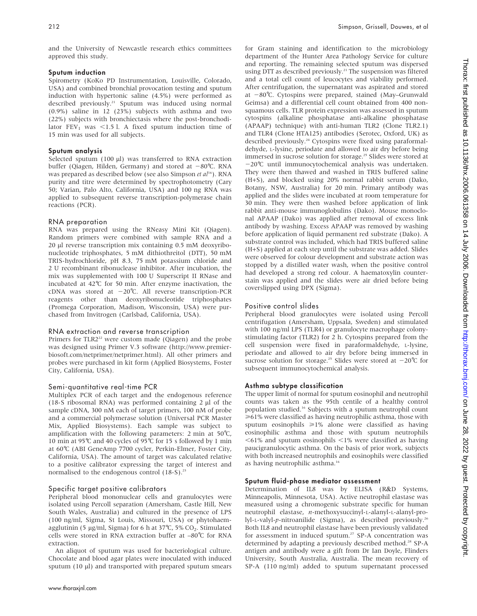and the University of Newcastle research ethics committees approved this study.

# Sputum induction

Spirometry (KoKo PD Instrumentation, Louisville, Colorado, USA) and combined bronchial provocation testing and sputum induction with hypertonic saline (4.5%) were performed as described previously.<sup>21</sup> Sputum was induced using normal (0.9%) saline in 12 (23%) subjects with asthma and two (22%) subjects with bronchiectasis where the post-bronchodilator  $FEV_1$  was <1.5 l. A fixed sputum induction time of 15 min was used for all subjects.

## Sputum analysis

Selected sputum (100 µl) was transferred to RNA extraction buffer (Qiagen, Hilden, Germany) and stored at  $-80^{\circ}$ C. RNA was prepared as described below (see also Simpson et al<sup>16</sup>). RNA purity and titre were determined by spectrophotometry (Cary 50; Varian, Palo Alto, California, USA) and 100 ng RNA was applied to subsequent reverse transcription-polymerase chain reactions (PCR).

## RNA preparation

RNA was prepared using the RNeasy Mini Kit (Qiagen). Random primers were combined with sample RNA and a 20 ml reverse transcription mix containing 0.5 mM deoxyribonucleotide triphosphates, 5 mM dithiothreitol (DTT), 50 mM TRIS-hydrochloride, pH 8.3, 75 mM potassium chloride and 2 U recombinant ribonuclease inhibitor. After incubation, the mix was supplemented with 100 U Superscript II RNase and incubated at 42˚C for 50 min. After enzyme inactivation, the cDNA was stored at  $-20^{\circ}$ C. All reverse transcription-PCR reagents other than deoxyribonucleotide triphosphates (Promega Corporation, Madison, Wisconsin, USA) were purchased from Invitrogen (Carlsbad, California, USA).

### RNA extraction and reverse transcription

Primers for  $TLR2^{22}$  were custom made (Qiagen) and the probe was designed using Primer V.3 software (http://www.premierbiosoft.com/netprimer/netprimer.html). All other primers and probes were purchased in kit form (Applied Biosystems, Foster City, California, USA).

# Semi-quantitative real-time PCR

Multiplex PCR of each target and the endogenous reference (18-S ribosomal RNA) was performed containing  $2 \mu l$  of the sample cDNA, 300 nM each of target primers, 100 nM of probe and a commercial polymerase solution (Universal PCR Master Mix, Applied Biosystems). Each sample was subject to amplification with the following parameters: 2 min at  $50^{\circ}$ C, 10 min at 95℃ and 40 cycles of 95℃ for 15 s followed by 1 min at 60˚C (ABI GeneAmp 7700 cycler, Perkin-Elmer, Foster City, California, USA). The amount of target was calculated relative to a positive calibrator expressing the target of interest and normalised to the endogenous control  $(18-5)$ .<sup>23</sup>

# Specific target positive calibrators

Peripheral blood mononuclear cells and granulocytes were isolated using Percoll separation (Amersham, Castle Hill, New South Wales, Australia) and cultured in the presence of LPS (100 ng/ml, Sigma, St Louis, Missouri, USA) or phytohaemagglutinin (5  $\mu$ g/ml, Sigma) for 6 h at 37°C, 5% CO<sub>2</sub>. Stimulated cells were stored in RNA extraction buffer at –80˚C for RNA extraction.

An aliquot of sputum was used for bacteriological culture. Chocolate and blood agar plates were inoculated with induced sputum  $(10 \mu l)$  and transported with prepared sputum smears

for Gram staining and identification to the microbiology department of the Hunter Area Pathology Service for culture and reporting. The remaining selected sputum was dispersed using DTT as described previously.<sup>21</sup> The suspension was filtered and a total cell count of leucocytes and viability performed. After centrifugation, the supernatant was aspirated and stored at  $-80^{\circ}$ C. Cytospins were prepared, stained (May–Grunwald Geimsa) and a differential cell count obtained from 400 nonsquamous cells. TLR protein expression was assessed in sputum cytospins (alkaline phosphatase anti-alkaline phosphatase (APAAP) technique) with anti-human TLR2 (Clone TLR2.1) and TLR4 (Clone HTA125) antibodies (Serotec, Oxford, UK) as described previously.<sup>24</sup> Cytospins were fixed using paraformaldehyde, L-lysine, periodate and allowed to air dry before being immersed in sucrose solution for storage.<sup>25</sup> Slides were stored at −20℃ until immunocytochemical analysis was undertaken. They were then thawed and washed in TRIS buffered saline (H+S), and blocked using 20% normal rabbit serum (Dako, Botany, NSW, Australia) for 20 min. Primary antibody was applied and the slides were incubated at room temperature for 30 min. They were then washed before application of link rabbit anti-mouse immunoglobulins (Dako). Mouse monoclonal APAAP (Dako) was applied after removal of excess link antibody by washing. Excess APAAP was removed by washing before application of liquid permanent red substrate (Dako). A substrate control was included, which had TRIS buffered saline (H+S) applied at each step until the substrate was added. Slides were observed for colour development and substrate action was stopped by a distilled water wash, when the positive control had developed a strong red colour. A haematoxylin counterstain was applied and the slides were air dried before being coverslipped using DPX (Sigma).

# Positive control slides

Peripheral blood granulocytes were isolated using Percoll centrifugation (Amersham, Uppsala, Sweden) and stimulated with 100 ng/ml LPS (TLR4) or granulocyte macrophage colonystimulating factor (TLR2) for 2 h. Cytospins prepared from the cell suspension were fixed in paraformaldehyde, L-lysine, periodate and allowed to air dry before being immersed in sucrose solution for storage.<sup>25</sup> Slides were stored at  $-20^{\circ}$ C for subsequent immunocytochemical analysis.

# Asthma subtype classification

The upper limit of normal for sputum eosinophil and neutrophil counts was taken as the 95th centile of a healthy control population studied.16 Subjects with a sputum neutrophil count  $\geq 61\%$  were classified as having neutrophilic asthma, those with sputum eosinophils  $\geq 1\%$  alone were classified as having eosinophilic asthma and those with sputum neutrophils  $<$ 61% and sputum eosinophils  $<$ 1% were classified as having paucigranulocytic asthma. On the basis of prior work, subjects with both increased neutrophils and eosinophils were classified as having neutrophilic asthma.16

### Sputum fluid-phase mediator assessment

Determination of IL8 was by ELISA (R&D Systems, Minneapolis, Minnesota, USA). Active neutrophil elastase was measured using a chromogenic substrate specific for human neutrophil elastase, n-methoxysuccinyl-L-alanyl-L-alanyl-prolyl-L-valyl-p-nitroanilide (Sigma), as described previously.26 Both IL8 and neutrophil elastase have been previously validated for assessment in induced sputum.<sup>27</sup> SP-A concentration was determined by adapting a previously described method.<sup>28</sup> SP-A antigen and antibody were a gift from Dr Ian Doyle, Flinders University, South Australia, Australia. The mean recovery of SP-A (110 ng/ml) added to sputum supernatant processed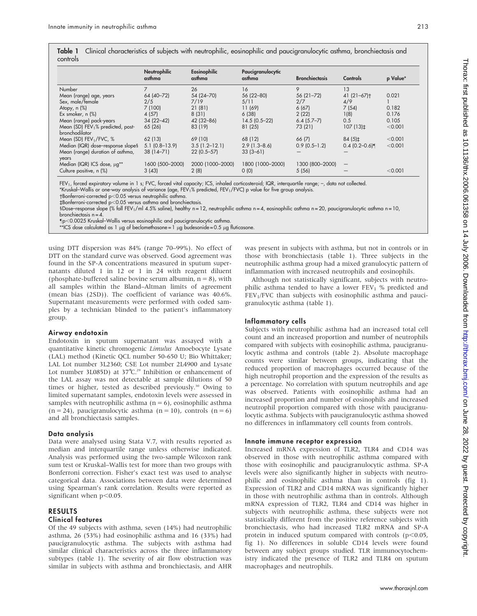Table 1 Clinical characteristics of subjects with neutrophilic, eosinophilic and paucigranulocytic asthma, bronchiectasis and controls

|                                               | <b>Neutrophilic</b><br>asthma | Eosinophilic<br>asthma | Paucigranulocytic<br>asthma | <b>Bronchiectasis</b> | Controls                 | p Value* |
|-----------------------------------------------|-------------------------------|------------------------|-----------------------------|-----------------------|--------------------------|----------|
| Number                                        |                               | 26                     | 16                          | 9                     | 13                       |          |
| Mean (range) age, years                       | 64 (40-72)                    | 54 (24 - 70)           | 56 (22-80)                  | 56 (21-72)            | $41(21-67)$ <sup>+</sup> | 0.021    |
| Sex, male/female                              | 2/5                           | 7/19                   | 5/11                        | 2/7                   | 4/9                      |          |
| Atopy, $n$ $%$                                | 7(100)                        | 21 (81)                | 11 (69)                     | 6(67)                 | 7(54)                    | 0.182    |
| Ex smoker, $n$ $\%$                           | 4(57)                         | 8(31)                  | 6(38)                       | 2(22)                 | 1(8)                     | 0.176    |
| Mean (range) pack-years                       | $34(22-42)$                   | 42 (32-86)             | $14.5(0.5-22)$              | $6.4(5.7-7)$          | 0.5                      | 0.105    |
| Mean (SD) FEV <sub>1</sub> % predicted, post- | 65 (26)                       | 83 (19)                | 81(25)                      | 73 (21)               | $107(13)\pm$             | < 0.001  |
| <b>bronchodilator</b>                         |                               |                        |                             |                       |                          |          |
| Mean (SD) $FEV1/FVC, %$                       | 62(13)                        | 69 (10)                | 68 (12)                     | 66(7)                 | $84(5)\pm$               | < 0.001  |
| Median (IQR) dose-response slope§             | $5.1(0.8-13.9)$               | $3.5(1.2 - 12.1)$      | $2.9(1.3 - 8.6)$            | $0.9(0.5 - 1.2)$      | $0.4$ (0.2–0.6)          | < 0.001  |
| Mean (range) duration of asthma,              | $38(14 - 71)$                 | $22(0.5 - 57)$         | $33(3-61)$                  |                       |                          |          |
| years                                         |                               |                        |                             |                       |                          |          |
| Median (IQR) ICS dose, µg**                   | 1600 (500-2000)               | 2000 (1000-2000)       | 1800 (1000-2000)            | 1300 (800-2000)       | $\qquad \qquad -$        |          |
| Culture positive, n (%)                       | 3(43)                         | 2(8)                   | 0(0)                        | 5(56)                 |                          | < 0.001  |

FEV<sub>1</sub>, forced expiratory volume in 1 s; FVC, forced vital capacity; ICS, inhaled corticosteroid; IQR, interquartile range; -, data not collected.

\*Kruskal–Wallis or one-way analysis of variance (age, FEV<sub>1</sub>% predicted, FEV<sub>1</sub>/FVC) p value for five group analysis.<br>†Bonferroni-corrected p<0.05 versus neutrophilic asthma.

 $\text{\tt tBonferroni-corrected } p<0.05$  versus asthma and bronchiectasis.

1Dose–response slope (% fall FEV1/ml 4.5% saline), healthy n = 12, neutrophilic asthma n = 4, eosinophilic asthma n = 20, paucigranulocytic asthma n = 10, bronchiectasis n = 4.

p,0.0025 Kruskal–Wallis versus eosinophilic and paucigranulocytic asthma.

\*\*ICS dose calculated as 1 µg of beclomethasone = 1 µg budesonide = 0.5 µg fluticasone.

using DTT dispersion was 84% (range 70–99%). No effect of DTT on the standard curve was observed. Good agreement was found in the SP-A concentrations measured in sputum supernatants diluted 1 in 12 or 1 in 24 with reagent diluent (phosphate-buffered saline bovine serum albumin,  $n = 8$ ), with all samples within the Bland–Altman limits of agreement (mean bias (2SD)). The coefficient of variance was 40.6%. Supernatant measurements were performed with coded samples by a technician blinded to the patient's inflammatory group.

### Airway endotoxin

Endotoxin in sputum supernatant was assayed with a quantitative kinetic chromogenic Limulus Amoebocyte Lysate (LAL) method (Kinetic QCL number 50-650 U; Bio Whittaker; LAL Lot number 3L2360; CSE Lot number 2L4900 and Lysate Lot number 3L085D) at  $37^{\circ}$ C.<sup>29</sup> Inhibition or enhancement of the LAL assay was not detectable at sample dilutions of 50 times or higher, tested as described previously.<sup>30</sup> Owing to limited supernatant samples, endotoxin levels were assessed in samples with neutrophilic asthma  $(n = 6)$ , eosinophilic asthma  $(n = 24)$ , paucigranulocytic asthma  $(n = 10)$ , controls  $(n = 6)$ and all bronchiectasis samples.

### Data analysis

Data were analysed using Stata V.7, with results reported as median and interquartile range unless otherwise indicated. Analysis was performed using the two-sample Wilcoxon rank sum test or Kruskal–Wallis test for more than two groups with Bonferroni correction. Fisher's exact test was used to analyse categorical data. Associations between data were determined using Spearman's rank correlation. Results were reported as significant when  $p<0.05$ .

### RESULTS Clinical features

Of the 49 subjects with asthma, seven (14%) had neutrophilic asthma, 26 (53%) had eosinophilic asthma and 16 (33%) had paucigranulocytic asthma. The subjects with asthma had similar clinical characteristics across the three inflammatory subtypes (table 1). The severity of air flow obstruction was similar in subjects with asthma and bronchiectasis, and AHR

was present in subjects with asthma, but not in controls or in those with bronchiectasis (table 1). Three subjects in the neutrophilic asthma group had a mixed granulocytic pattern of inflammation with increased neutrophils and eosinophils.

Although not statistically significant, subjects with neutrophilic asthma tended to have a lower  $FEV<sub>1</sub>$  % predicted and  $FEV<sub>1</sub>/FVC$  than subjects with eosinophilic asthma and paucigranulocytic asthma (table 1).

### Inflammatory cells

Subjects with neutrophilic asthma had an increased total cell count and an increased proportion and number of neutrophils compared with subjects with eosinophilic asthma, paucigranulocytic asthma and controls (table 2). Absolute macrophage counts were similar between groups, indicating that the reduced proportion of macrophages occurred because of the high neutrophil proportion and the expression of the results as a percentage. No correlation with sputum neutrophils and age was observed. Patients with eosinophilic asthma had an increased proportion and number of eosinophils and increased neutrophil proportion compared with those with paucigranulocytic asthma. Subjects with paucigranulocytic asthma showed no differences in inflammatory cell counts from controls.

### Innate immune receptor expression

Increased mRNA expression of TLR2, TLR4 and CD14 was observed in those with neutrophilic asthma compared with those with eosinophilic and paucigranulocytic asthma. SP-A levels were also significantly higher in subjects with neutrophilic and eosinophilic asthma than in controls (fig 1). Expression of TLR2 and CD14 mRNA was significantly higher in those with neutrophilic asthma than in controls. Although mRNA expression of TLR2, TLR4 and CD14 was higher in subjects with neutrophilic asthma, these subjects were not statistically different from the positive reference subjects with bronchiectasis, who had increased TLR2 mRNA and SP-A protein in induced sputum compared with controls ( $p$ <0.05, fig 1). No differences in soluble CD14 levels were found between any subject groups studied. TLR immunocytochemistry indicated the presence of TLR2 and TLR4 on sputum macrophages and neutrophils.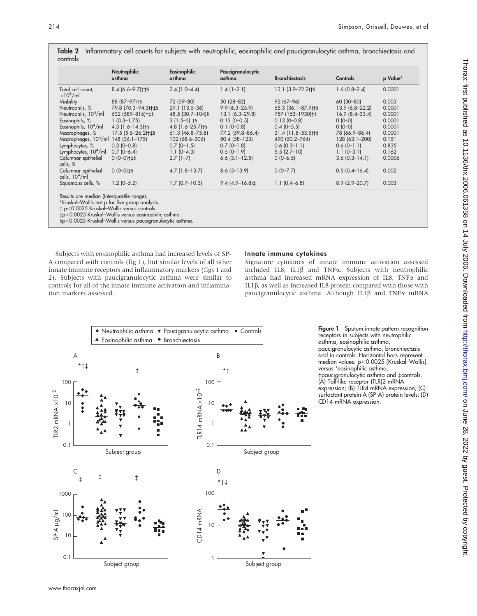|                                                 | Neutrophilic<br>asthma       | Eosinophilic<br>asthma | Paucigranulocytic<br>asthma | <b>Bronchiectasis</b>   | Controls          | p Value* |
|-------------------------------------------------|------------------------------|------------------------|-----------------------------|-------------------------|-------------------|----------|
| Total cell count,<br>$\times10^6$ /ml           | 8.4 (6.6-9.7)+18             | $2.4(1.0 - 4.4)$       | $1.4(1-2.1)$                | 13.1 (3.9-22.2)+§       | $1.6(0.8-2.4)$    | 0.0001   |
| Viability                                       | 88 (87-97) +§                | 72 (59-80)             | 50 (28-82)                  | 92 (67-96)              | 60 (30-80)        | 0.003    |
| Neutrophils, %                                  | 79.8 (70.3-94.3)+ $\pm$ §    | 29.1 (13.5–36)         | $9.9(6.3 - 25.9)$           | 65.3 (36.1-87.9)+§      | $13.9(6.8-22.2)$  | 0.0001   |
| Neutrophils, 10 <sup>4</sup> /ml                | 632 (589-816)+ $\pm$ §       | 48.5 (30.7-104) §      | $13.1(6.3 - 29.8)$          | 757 (153-1930)+§        | $16.9(8.4-33.4)$  | 0.0001   |
| Eosinophils, %                                  | $1(0.3 - 1.75)$              | $3(1.5-5)$ +§          | $0.13(0 - 0.5)$             | $0.13(0 - 0.8)$         | $0(0-0)$          | 0.0001   |
| Eosinophils, 10 <sup>4</sup> /ml                | $4.3(1.6 - 14.3)$ † §        | $4.8(1.6 - 25.7)$ † §  | $0.1(0-0.8)$                | $0.4(0-5.5)$            | $0(0-0)$          | 0.0001   |
| Macrophages, %                                  | $17.5(5.5 - 26.2)$ † $\pm$ § | $61.3$ (46.8-75.8)     | 77.2 (59.8-86.4)            | $31.4(11.8 - 53.5)$ + § | 78 (66.9-86.4)    | 0.0001   |
| Macrophages, 10 <sup>4</sup> /ml 148 (36.1–175) |                              | 102 (68.6-306)         | 80.4 (58-123)               | 490 (50.2-764)          | 128 (63.1-200)    | 0.151    |
| Lymphocytes, %                                  | $0.3(0-0.8)$                 | $0.7(0-1.5)$           | $0.7(0-1.8)$                | $0.6(0.3-1.1)$          | $0.6(0-1.1)$      | 0.835    |
| Lymphocytes, $104/ml$                           | $0.7(0-6.4)$                 | $1.1(0-4.3)$           | $0.5(0-1.9)$                | $5.5(2.7-10)$           | $1.1 (0 - 3.1)$   | 0.162    |
| Columnar epithelial<br>cells, %                 | $0 (0 - 0)$ + $\pm$ §        | $2.7(1-7)$             | $6.6$ $(3.1 - 12.5)$        | $0(0-6.5)$              | $3.6(0.3 - 14.1)$ | 0.0006   |
| Columnar epithelial<br>cells, $104/ml$          | $0(0-0)$ $\pm$ §             | $4.7(1.8-13.7)$        | $8.6(5-13.9)$               | $0(0 - 7.7)$            | $0.5(0.4-16.4)$   | 0.002    |
| Squamous cells, %                               | $1.2 (0 - 5.2)$              | $1.7(0.7-10.3)$        | $9.4(4.9-16.8)$ ±           | $1.1(0.4-6.8)$          | $8.9(2.9 - 20.7)$ | 0.003    |

Table 2 Inflammatory cell counts for subjects with neutrophilic, eosinophilic and paucigranulocytic asthma, bronchiectasis and controls

p,0.0025 Kruskal–Wallis versus controls.

`p,0.0025 Kruskal–Wallis versus eosinophilic asthma.

1p,0.0025 Kruskal–Wallis versus paucigranulocytic asthma.

Subjects with eosinophilic asthma had increased levels of SP-A compared with controls (fig 1), but similar levels of all other innate immune receptors and inflammatory markers (figs 1 and 2). Subjects with paucigranulocytic asthma were similar to controls for all of the innate immune activation and inflammation markers assessed.

## Innate immune cytokines

Signature cytokines of innate immune activation assessed included IL8, IL1 $\beta$  and TNF $\alpha$ . Subjects with neutrophilic asthma had increased mRNA expression of IL8, TNFa and IL1 $\beta$ , as well as increased IL8 protein compared with those with paucigranulocytic asthma. Although IL1 $\beta$  and TNF $\alpha$  mRNA



Figure 1 Sputum innate pattern recognition receptors in subjects with neutrophilic asthma, eosinophilic asthma, paucigranulocytic asthma, bronchiectasis and in controls. Horizontal bars represent median values. p<0.0025 (Kruskal–Wallis) versus \*eosinophilic asthma, tpaucigranulocytic asthma and tcontrols. (A) Toll-like receptor (TLR)2 mRNA expression; (B) TLR4 mRNA expression; (C) surfactant protein A (SP-A) protein levels; (D) CD14 mRNA expression.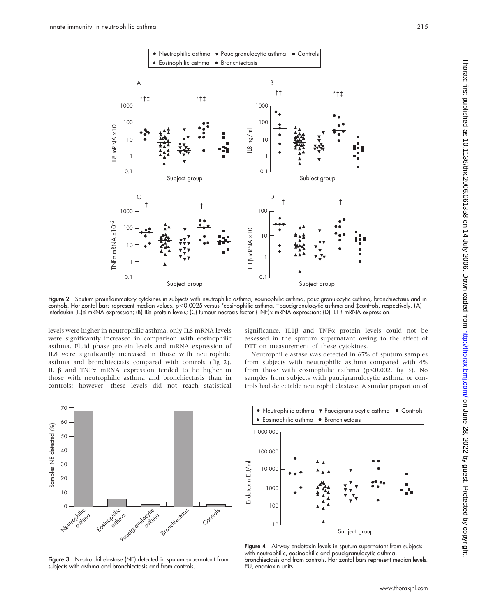

Figure 2 Sputum proinflammatory cytokines in subjects with neutrophilic asthma, eosinophilic asthma, paucigranulocytic asthma, bronchiectasis and in controls. Horizontal bars represent median values. p<0.0025 versus \*eosinophilic asthma, paucigranulocytic asthma and tcontrols, respectively. (A) Interleukin (IL)8 mRNA expression; (B) IL8 protein levels; (C) tumour necrosis factor (TNF)a mRNA expression; (D) IL1b mRNA expression.

levels were higher in neutrophilic asthma, only IL8 mRNA levels were significantly increased in comparison with eosinophilic asthma. Fluid phase protein levels and mRNA expression of IL8 were significantly increased in those with neutrophilic asthma and bronchiectasis compared with controls (fig 2). IL1b and TNFa mRNA expression tended to be higher in those with neutrophilic asthma and bronchiectasis than in controls; however, these levels did not reach statistical significance. IL1 $\beta$  and TNF $\alpha$  protein levels could not be assessed in the sputum supernatant owing to the effect of DTT on measurement of these cytokines.

Neutrophil elastase was detected in 67% of sputum samples from subjects with neutrophilic asthma compared with 4% from those with eosinophilic asthma ( $p$ <0.002, fig 3). No samples from subjects with paucigranulocytic asthma or controls had detectable neutrophil elastase. A similar proportion of



Figure 3 Neutrophil elastase (NE) detected in sputum supernatant from subjects with asthma and bronchiectasis and from controls.



Figure 4 Airway endotoxin levels in sputum supernatant from subjects with neutrophilic, eosinophilic and paucigranulocytic asthma, bronchiectasis and from controls. Horizontal bars represent median levels. EU, endotoxin units.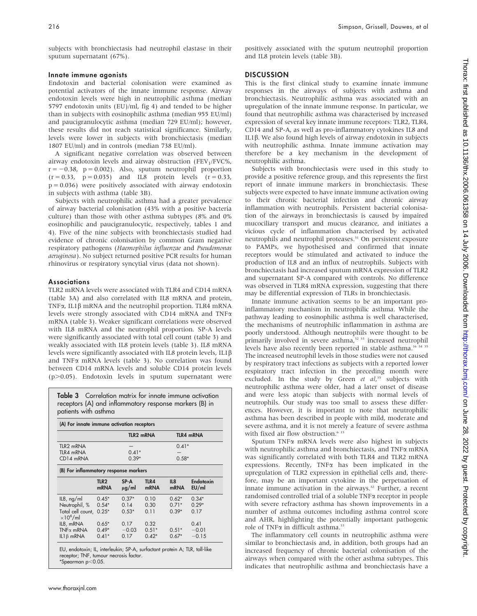subjects with bronchiectasis had neutrophil elastase in their sputum supernatant (67%).

#### Innate immune agonists

Endotoxin and bacterial colonisation were examined as potential activators of the innate immune response. Airway endotoxin levels were high in neutrophilic asthma (median 5797 endotoxin units (EU)/ml, fig 4) and tended to be higher than in subjects with eosinophilic asthma (median 955 EU/ml) and paucigranulocytic asthma (median 729 EU/ml); however, these results did not reach statistical significance. Similarly, levels were lower in subjects with bronchiectasis (median 1807 EU/ml) and in controls (median 738 EU/ml).

A significant negative correlation was observed between airway endotoxin levels and airway obstruction (FEV<sub>1</sub>/FVC%,  $r = -0.38$ ,  $p = 0.002$ ). Also, sputum neutrophil proportion  $(r = 0.33, p = 0.035)$  and IL8 protein levels  $(r = 0.33, p = 0.035)$  $p = 0.036$ ) were positively associated with airway endotoxin in subjects with asthma (table 3B).

Subjects with neutrophilic asthma had a greater prevalence of airway bacterial colonisation (43% with a positive bacteria culture) than those with other asthma subtypes (8% and 0% eosinophilic and paucigranulocytic, respectively, tables 1 and 4). Five of the nine subjects with bronchiectasis studied had evidence of chronic colonisation by common Gram negative respiratory pathogens (Haemophilus influenzae and Pseudomonas aeruginosa). No subject returned positive PCR results for human rhinovirus or respiratory syncytial virus (data not shown).

#### Associations

TLR2 mRNA levels were associated with TLR4 and CD14 mRNA (table 3A) and also correlated with IL8 mRNA and protein, TNF $\alpha$ , IL1 $\beta$  mRNA and the neutrophil proportion. TLR4 mRNA levels were strongly associated with CD14 mRNA and TNFa mRNA (table 3). Weaker significant correlations were observed with IL8 mRNA and the neutrophil proportion. SP-A levels were significantly associated with total cell count (table 3) and weakly associated with IL8 protein levels (table 3). IL8 mRNA levels were significantly associated with IL8 protein levels, IL1b and TNF $\alpha$  mRNA levels (table 3). No correlation was found between CD14 mRNA levels and soluble CD14 protein levels (p>0.05). Endotoxin levels in sputum supernatant were

Table 3 Correlation matrix for innate immune activation receptors (A) and inflammatory response markers (B) in patients with asthma

| (A) For innate immune activation receptors |                                 |                    |              |             |                    |
|--------------------------------------------|---------------------------------|--------------------|--------------|-------------|--------------------|
|                                            |                                 |                    | TLR2 mRNA    |             | <b>TLR4 mRNA</b>   |
| TLR <sub>2</sub> mRNA                      |                                 |                    |              | $0.41*$     |                    |
| TLR4 mRNA                                  |                                 | $0.41*$            |              |             |                    |
| CD14 mRNA                                  |                                 | $0.39*$<br>$0.58*$ |              |             |                    |
| (B) For inflammatory response markers      |                                 |                    |              |             |                    |
|                                            | TLR <sub>2</sub><br><b>mRNA</b> | SP-A<br>$\mu$ g/ml | TLR4<br>mRNA | IL8<br>mRNA | Endotoxin<br>EU/ml |
| IL8, ng/ml                                 | $0.45*$                         | $0.37*$            | 0.10         | $0.62*$     | $0.34*$            |
| Neutrophil, %                              | $0.54*$                         | 0.14               | 0.30         | $0.71*$     | $0.29*$            |
| Total cell count,<br>$\times10^6$ /ml      | $0.25*$                         | $0.53*$            | 0.11         | $0.39*$     | 0.17               |
| IL8, mRNA                                  | $0.65*$                         | 0.17               | 0.32         |             | 0.41               |
| $TNF\alpha$ mRNA                           | $0.49*$                         | $-0.03$            | $0.51*$      | $0.51*$     | $-0.01$            |
| $IL1\beta$ mRNA                            | $0.41*$                         | 0.17               | $0.42*$      | $0.67*$     | $-0.15$            |

EU, endotoxin; IL, interleukin; SP-A, surfactant protein A; TLR, toll-like receptor; TNF, tumour necrosis factor.  $*Spearman p<0.05.$ 

positively associated with the sputum neutrophil proportion and IL8 protein levels (table 3B).

#### **DISCUSSION**

This is the first clinical study to examine innate immune responses in the airways of subjects with asthma and bronchiectasis. Neutrophilic asthma was associated with an upregulation of the innate immune response. In particular, we found that neutrophilic asthma was characterised by increased expression of several key innate immune receptors: TLR2, TLR4, CD14 and SP-A, as well as pro-inflammatory cytokines IL8 and IL1 $\beta$ . We also found high levels of airway endotoxin in subjects with neutrophilic asthma. Innate immune activation may therefore be a key mechanism in the development of neutrophilic asthma.

Subjects with bronchiectasis were used in this study to provide a positive reference group, and this represents the first report of innate immune markers in bronchiectasis. These subjects were expected to have innate immune activation owing to their chronic bacterial infection and chronic airway inflammation with neutrophils. Persistent bacterial colonisation of the airways in bronchiectasis is caused by impaired mucociliary transport and mucus clearance, and initiates a vicious cycle of inflammation characterised by activated neutrophils and neutrophil proteases.<sup>31</sup> On persistent exposure to PAMPs, we hypothesised and confirmed that innate receptors would be stimulated and activated to induce the production of IL8 and an influx of neutrophils. Subjects with bronchiectasis had increased sputum mRNA expression of TLR2 and supernatant SP-A compared with controls. No difference was observed in TLR4 mRNA expression, suggesting that there may be differential expression of TLRs in bronchiectasis.

Innate immune activation seems to be an important proinflammatory mechanism in neutrophilic asthma. While the pathway leading to eosinophilic asthma is well characterised, the mechanisms of neutrophilic inflammation in asthma are poorly understood. Although neutrophils were thought to be primarily involved in severe asthma,<sup>32 33</sup> increased neutrophil levels have also recently been reported in stable asthma.<sup>16 34 35</sup> The increased neutrophil levels in those studies were not caused by respiratory tract infections as subjects with a reported lower respiratory tract infection in the preceding month were excluded. In the study by Green et al,<sup>35</sup> subjects with neutrophilic asthma were older, had a later onset of disease and were less atopic than subjects with normal levels of neutrophils. Our study was too small to assess these differences. However, it is important to note that neutrophilic asthma has been described in people with mild, moderate and severe asthma, and it is not merely a feature of severe asthma with fixed air flow obstruction.<sup>6 13</sup>

Sputum TNFa mRNA levels were also highest in subjects with neutrophilic asthma and bronchiectasis, and TNF $\alpha$  mRNA was significantly correlated with both TLR4 and TLR2 mRNA expressions. Recently, TNFa has been implicated in the upregulation of TLR2 expression in epithelial cells and, therefore, may be an important cytokine in the perpetuation of innate immune activation in the airways.<sup>32</sup> Further, a recent randomised controlled trial of a soluble TNFa receptor in people with severe refractory asthma has shown improvements in a number of asthma outcomes including asthma control score and AHR, highlighting the potentially important pathogenic role of TNF $\alpha$  in difficult asthma.<sup>33</sup>

The inflammatory cell counts in neutrophilic asthma were similar to bronchiectasis and, in addition, both groups had an increased frequency of chronic bacterial colonisation of the airways when compared with the other asthma subtypes. This indicates that neutrophilic asthma and bronchiectasis have a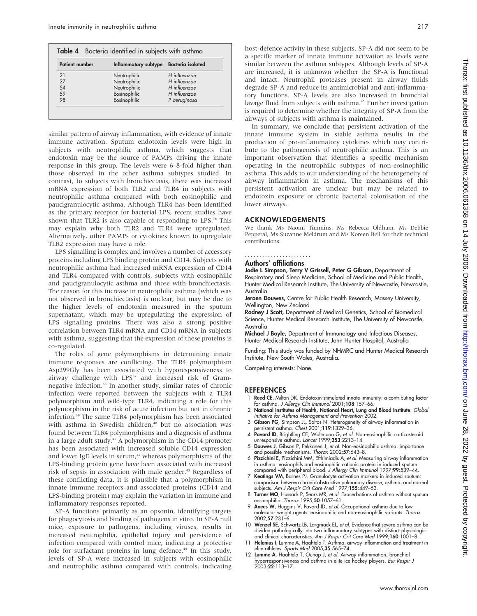| <b>Patient number</b> | Inflammatory subtype | <b>Bacteria</b> isolated |  |
|-----------------------|----------------------|--------------------------|--|
| 21                    | Neutrophilic         | H influenzae             |  |
| 27                    | Neutrophilic         | H influenzae             |  |
| 54                    | Neutrophilic         | H influenzae             |  |
| 59                    | Eosinophilic         | H influenzae             |  |
| 98                    | Eosinophilic         | P aeruginosa             |  |

similar pattern of airway inflammation, with evidence of innate immune activation. Sputum endotoxin levels were high in subjects with neutrophilic asthma, which suggests that endotoxin may be the source of PAMPs driving the innate response in this group. The levels were 6–8-fold higher than those observed in the other asthma subtypes studied. In contrast, to subjects with bronchiectasis, there was increased mRNA expression of both TLR2 and TLR4 in subjects with neutrophilic asthma compared with both eosinophilic and paucigranulocytic asthma. Although TLR4 has been identified as the primary receptor for bacterial LPS, recent studies have shown that TLR2 is also capable of responding to LPS.<sup>36</sup> This may explain why both TLR2 and TLR4 were upregulated. Alternatively, other PAMPs or cytokines known to upregulate TLR2 expression may have a role.

LPS signalling is complex and involves a number of accessory proteins including LPS binding protein and CD14. Subjects with neutrophilic asthma had increased mRNA expression of CD14 and TLR4 compared with controls, subjects with eosinophilic and paucigranulocytic asthma and those with bronchiectasis. The reason for this increase in neutrophilic asthma (which was not observed in bronchiectasis) is unclear, but may be due to the higher levels of endotoxin measured in the sputum supernatant, which may be upregulating the expression of LPS signalling proteins. There was also a strong positive correlation between TLR4 mRNA and CD14 mRNA in subjects with asthma, suggesting that the expression of these proteins is co-regulated.

The roles of gene polymorphisms in determining innate immune responses are conflicting. The TLR4 polymorphism Asp299Gly has been associated with hyporesponsiveness to airway challenge with LPS<sup>37</sup> and increased risk of Gramnegative infection.38 In another study, similar rates of chronic infection were reported between the subjects with a TLR4 polymorphism and wild-type TLR4, indicating a role for this polymorphism in the risk of acute infection but not in chronic infection.39 The same TLR4 polymorphism has been associated with asthma in Swedish children,<sup>40</sup> but no association was found between TLR4 polymorphisms and a diagnosis of asthma in a large adult study.41 A polymorphism in the CD14 promoter has been associated with increased soluble CD14 expression and lower IgE levels in serum,<sup>42</sup> whereas polymorphisms of the LPS-binding protein gene have been associated with increased risk of sepsis in association with male gender.<sup>43</sup> Regardless of these conflicting data, it is plausible that a polymorphism in innate immune receptors and associated proteins (CD14 and LPS-binding protein) may explain the variation in immune and inflammatory responses reported.

SP-A functions primarily as an opsonin, identifying targets for phagocytosis and binding of pathogens in vitro. In SP-A null mice, exposure to pathogens, including viruses, results in increased neutrophilia, epithelial injury and persistence of infection compared with control mice, indicating a protective role for surfactant proteins in lung defence.<sup>44</sup> In this study, levels of SP-A were increased in subjects with eosinophilic and neutrophilic asthma compared with controls, indicating

host-defence activity in these subjects. SP-A did not seem to be a specific marker of innate immune activation as levels were similar between the asthma subtypes. Although levels of SP-A are increased, it is unknown whether the SP-A is functional and intact. Neutrophil proteases present in airway fluids degrade SP-A and reduce its antimicrobial and anti-inflammatory functions. SP-A levels are also increased in bronchial lavage fluid from subjects with asthma.<sup>45</sup> Further investigation is required to determine whether the integrity of SP-A from the airways of subjects with asthma is maintained.

In summary, we conclude that persistent activation of the innate immune system in stable asthma results in the production of pro-inflammatory cytokines which may contribute to the pathogenesis of neutrophilic asthma. This is an important observation that identifies a specific mechanism operating in the neutrophilic subtypes of non-eosinophilic asthma. This adds to our understanding of the heterogeneity of airway inflammation in asthma. The mechanisms of this persistent activation are unclear but may be related to endotoxin exposure or chronic bacterial colonisation of the lower airways.

### ACKNOWLEDGEMENTS

We thank Ms Naomi Timmins, Ms Rebecca Oldham, Ms Debbie Pepperal, Ms Suzanne Meldrum and Ms Noreen Bell for their technical contributions.

#### Authors' affiliations .......................

Jodie L Simpson, Terry V Grissell, Peter G Gibson, Department of Respiratory and Sleep Medicine, School of Medicine and Public Health, Hunter Medical Research Institute, The University of Newcastle, Newcastle, Australia

Jeroen Douwes, Centre for Public Health Research, Massey University, Wellington, New Zealand

Rodney J Scott, Department of Medical Genetics, School of Biomedical Science, Hunter Medical Research Institute, The University of Newcastle, Australia

Michael J Boyle, Department of Immunology and Infectious Diseases, Hunter Medical Research Institute, John Hunter Hospital, Australia

Funding: This study was funded by NHMRC and Hunter Medical Research Institute, New South Wales, Australia.

Competing interests: None.

#### REFERENCES

- Reed CE, Milton DK. Endotoxin-stimulated innate immunity: a contributing factor for asthma. J Allergy Clin Immunol 2001;108:157–66.
- 2 National Institutes of Health, National Heart, Lung and Blood Institute. Global Initiative for Asthma Management and Prevention 2002.
- 3 Gibson PG, Simpson JL, Saltos N. Heterogeneity of airway inflammation in persistent asthma. Chest 2001;119:1329–36.
- 4 Pavord ID, Brightling CE, Woltmann G, et al. Non-eosinophilic corticosteroid unresponsive asthma. Lancet 1999;353:2213–14. 5 Douwes J, Gibson P, Pekkanen J, et al. Non-eosinophilic asthma: importance
- and possible mechanisms. Thorax 2002;57:643–8.
- 6 Pizzichini E, Pizzichini MM, Efthimiadis A, et al. Measuring airway inflammation in asthma: eosinophils and eosinophilic cationic protein in induced sputum<br>compared with peripheral blood. *J Allergy Clin Immunol* 1997;**99**:539–44.
- 7 Keatings VM, Barnes PJ. Granulocyte activation markers in induced sputum: comparison between chronic obstructive pulmonary disease, asthma, and normal subjects. Am J Respir Crit Care Med 1997;155:449–53.
- 8 Turner MO, Hussack P, Sears MR, et al. Exacerbations of asthma without sputum eosinophilia. Thorax 1995;50:1057-61.
- 9 Anees W, Huggins V, Pavord ID, et al. Occupational asthma due to low molecular weight agents: eosinophilic and non-eosinophilic variants. Thorax 2002;57:231–6.
- 10 Wenzel SE, Schwartz LB, Largmack EL, et al. Evidence that severe asthma can be divided pathologically into two inflammatory subtypes with distinct physiologic<br>and clinical characteristics. Am J Respir Crit Care Med 1999;**160**:1001–8.
- 11 Helenius I, Lumme A, Haahtela T. Asthma, airway inflammation and treatment in elite athletes. Sports Med 2005:35:565-74.
- 12 Lumme A, Haahtela T, Ounap J, et al. Airway inflammation, bronchial hyperresponsiveness and asthma in elite ice hockey players. Eur Respir J 2003;22:113–17.